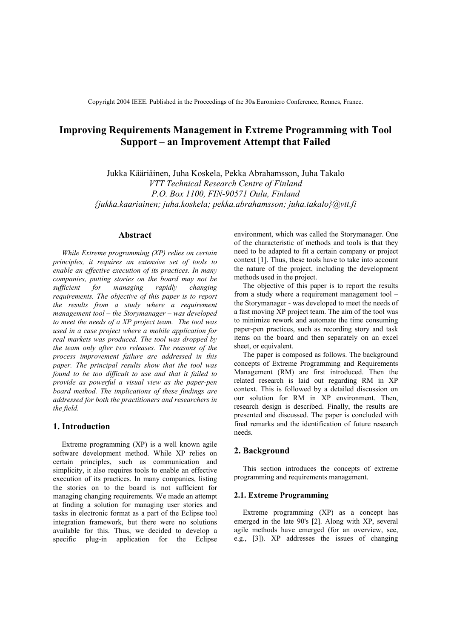Copyright 2004 IEEE. Published in the Proceedings of the 30th Euromicro Conference, Rennes, France.

# **Improving Requirements Management in Extreme Programming with Tool Support – an Improvement Attempt that Failed**

Jukka Kääriäinen, Juha Koskela, Pekka Abrahamsson, Juha Takalo *VTT Technical Research Centre of Finland P.O. Box 1100, FIN-90571 Oulu, Finland {jukka.kaariainen; juha.koskela; pekka.abrahamsson; juha.takalo}@vtt.fi* 

#### **Abstract**

*While Extreme programming (XP) relies on certain principles, it requires an extensive set of tools to enable an effective execution of its practices. In many companies, putting stories on the board may not be sufficient for managing rapidly changing requirements. The objective of this paper is to report the results from a study where a requirement management tool – the Storymanager – was developed to meet the needs of a XP project team. The tool was used in a case project where a mobile application for real markets was produced. The tool was dropped by the team only after two releases. The reasons of the process improvement failure are addressed in this paper. The principal results show that the tool was found to be too difficult to use and that it failed to provide as powerful a visual view as the paper-pen board method. The implications of these findings are addressed for both the practitioners and researchers in the field.* 

## **1. Introduction**

Extreme programming (XP) is a well known agile software development method. While XP relies on certain principles, such as communication and simplicity, it also requires tools to enable an effective execution of its practices. In many companies, listing the stories on to the board is not sufficient for managing changing requirements. We made an attempt at finding a solution for managing user stories and tasks in electronic format as a part of the Eclipse tool integration framework, but there were no solutions available for this. Thus, we decided to develop a specific plug-in application for the Eclipse environment, which was called the Storymanager. One of the characteristic of methods and tools is that they need to be adapted to fit a certain company or project context [1]. Thus, these tools have to take into account the nature of the project, including the development methods used in the project.

The objective of this paper is to report the results from a study where a requirement management tool – the Storymanager - was developed to meet the needs of a fast moving XP project team. The aim of the tool was to minimize rework and automate the time consuming paper-pen practices, such as recording story and task items on the board and then separately on an excel sheet, or equivalent.

The paper is composed as follows. The background concepts of Extreme Programming and Requirements Management (RM) are first introduced. Then the related research is laid out regarding RM in XP context. This is followed by a detailed discussion on our solution for RM in XP environment. Then, research design is described. Finally, the results are presented and discussed. The paper is concluded with final remarks and the identification of future research needs.

### **2. Background**

This section introduces the concepts of extreme programming and requirements management.

### **2.1. Extreme Programming**

Extreme programming (XP) as a concept has emerged in the late 90's [2]. Along with XP, several agile methods have emerged (for an overview, see, e.g., [3]). XP addresses the issues of changing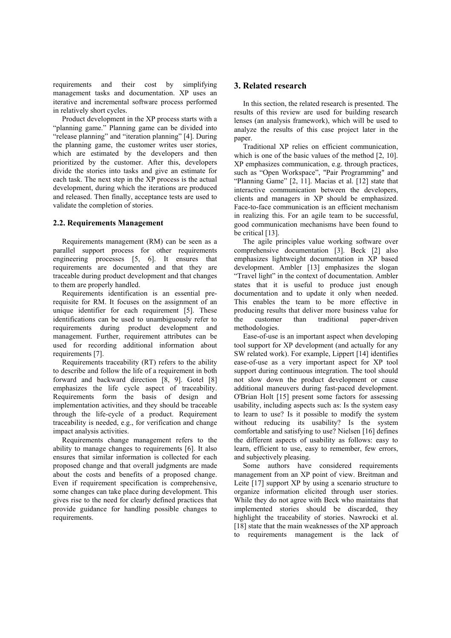requirements and their cost by simplifying management tasks and documentation. XP uses an iterative and incremental software process performed in relatively short cycles.

Product development in the XP process starts with a "planning game." Planning game can be divided into "release planning" and "iteration planning" [4]. During the planning game, the customer writes user stories, which are estimated by the developers and then prioritized by the customer. After this, developers divide the stories into tasks and give an estimate for each task. The next step in the XP process is the actual development, during which the iterations are produced and released. Then finally, acceptance tests are used to validate the completion of stories.

#### **2.2. Requirements Management**

Requirements management (RM) can be seen as a parallel support process for other requirements engineering processes [5, 6]. It ensures that requirements are documented and that they are traceable during product development and that changes to them are properly handled.

Requirements identification is an essential prerequisite for RM. It focuses on the assignment of an unique identifier for each requirement [5]. These identifications can be used to unambiguously refer to requirements during product development and management. Further, requirement attributes can be used for recording additional information about requirements [7].

Requirements traceability (RT) refers to the ability to describe and follow the life of a requirement in both forward and backward direction [8, 9]. Gotel [8] emphasizes the life cycle aspect of traceability. Requirements form the basis of design and implementation activities, and they should be traceable through the life-cycle of a product. Requirement traceability is needed, e.g., for verification and change impact analysis activities.

Requirements change management refers to the ability to manage changes to requirements [6]. It also ensures that similar information is collected for each proposed change and that overall judgments are made about the costs and benefits of a proposed change. Even if requirement specification is comprehensive, some changes can take place during development. This gives rise to the need for clearly defined practices that provide guidance for handling possible changes to requirements.

## **3. Related research**

In this section, the related research is presented. The results of this review are used for building research lenses (an analysis framework), which will be used to analyze the results of this case project later in the paper.

Traditional XP relies on efficient communication, which is one of the basic values of the method [2, 10]. XP emphasizes communication, e.g. through practices, such as "Open Workspace", "Pair Programming" and "Planning Game" [2, 11]. Macias et al. [12] state that interactive communication between the developers, clients and managers in XP should be emphasized. Face-to-face communication is an efficient mechanism in realizing this. For an agile team to be successful, good communication mechanisms have been found to be critical [13].

The agile principles value working software over comprehensive documentation [3]. Beck [2] also emphasizes lightweight documentation in XP based development. Ambler [13] emphasizes the slogan "Travel light" in the context of documentation. Ambler states that it is useful to produce just enough documentation and to update it only when needed. This enables the team to be more effective in producing results that deliver more business value for the customer than traditional paper-driven methodologies.

Ease-of-use is an important aspect when developing tool support for XP development (and actually for any SW related work). For example, Lippert [14] identifies ease-of-use as a very important aspect for XP tool support during continuous integration. The tool should not slow down the product development or cause additional maneuvers during fast-paced development. O'Brian Holt [15] present some factors for assessing usability, including aspects such as: Is the system easy to learn to use? Is it possible to modify the system without reducing its usability? Is the system comfortable and satisfying to use? Nielsen [16] defines the different aspects of usability as follows: easy to learn, efficient to use, easy to remember, few errors, and subjectively pleasing.

Some authors have considered requirements management from an XP point of view. Breitman and Leite [17] support XP by using a scenario structure to organize information elicited through user stories. While they do not agree with Beck who maintains that implemented stories should be discarded, they highlight the traceability of stories. Nawrocki et al. [18] state that the main weaknesses of the XP approach to requirements management is the lack of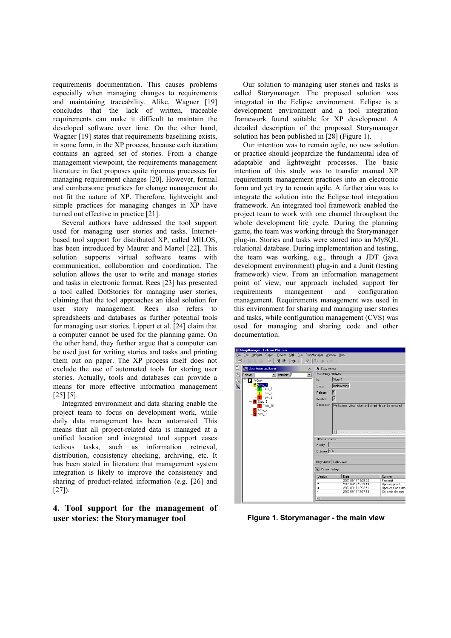requirements documentation. This causes problems especially when managing changes to requirements and maintaining traceability. Alike, Wagner [19] concludes that the lack of written, traceable requirements can make it difficult to maintain the developed software over time. On the other hand, Wagner [19] states that requirements baselining exists, in some form, in the XP process, because each iteration contains an agreed set of stories. From a change management viewpoint, the requirements management literature in fact proposes quite rigorous processes for managing requirement changes [20]. However, formal and cumbersome practices for change management do not fit the nature of XP. Therefore, lightweight and simple practices for managing changes in XP have turned out effective in practice [21].

Several authors have addressed the tool support used for managing user stories and tasks. Internetbased tool support for distributed XP, called MILOS, has been introduced by Maurer and Martel [22]. This solution supports virtual software teams with communication, collaboration and coordination. The solution allows the user to write and manage stories and tasks in electronic format. Rees [23] has presented a tool called DotStories for managing user stories, claiming that the tool approaches an ideal solution for user story management. Rees also refers to spreadsheets and databases as further potential tools for managing user stories. Lippert et al. [24] claim that a computer cannot be used for the planning game. On the other hand, they further argue that a computer can be used just for writing stories and tasks and printing them out on paper. The XP process itself does not exclude the use of automated tools for storing user stories. Actually, tools and databases can provide a means for more effective information management [25] [5].

Integrated environment and data sharing enable the project team to focus on development work, while daily data management has been automated. This means that all project-related data is managed at a unified location and integrated tool support eases tedious tasks, such as information retrieval, distribution, consistency checking, archiving, etc. It has been stated in literature that management system integration is likely to improve the consistency and sharing of product-related information (e.g. [26] and  $[27]$ ).

## **4. Tool support for the management of user stories: the Storymanager tool**

Our solution to managing user stories and tasks is called Storymanager. The proposed solution was integrated in the Eclipse environment. Eclipse is a development environment and a tool integration framework found suitable for XP development. A detailed description of the proposed Storymanager solution has been published in [28] (Figure 1).

Our intention was to remain agile, no new solution or practice should jeopardize the fundamental idea of adaptable and lightweight processes. The basic intention of this study was to transfer manual XP requirements management practices into an electronic form and yet try to remain agile. A further aim was to integrate the solution into the Eclipse tool integration framework. An integrated tool framework enabled the project team to work with one channel throughout the whole development life cycle. During the planning game, the team was working through the Storymanager plug-in. Stories and tasks were stored into an MySQL relational database. During implementation and testing, the team was working, e.g., through a JDT (java development environment) plug-in and a Junit (testing framework) view. From an information management point of view, our approach included support for requirements management and configuration management. Requirements management was used in this environment for sharing and managing user stories and tasks, while configuration management (CVS) was used for managing and sharing code and other documentation.



**Figure 1. Storymanager - the main view**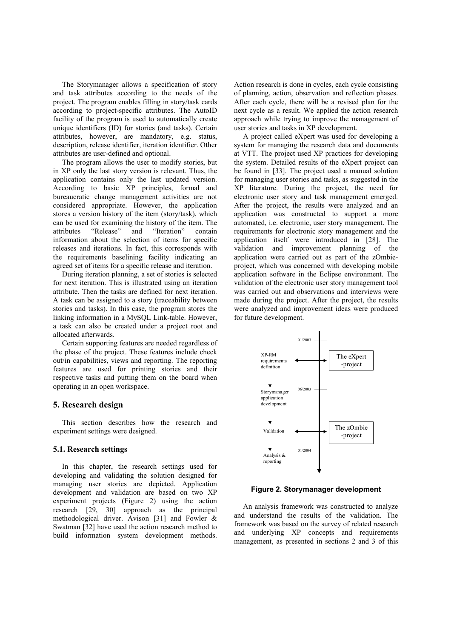The Storymanager allows a specification of story and task attributes according to the needs of the project. The program enables filling in story/task cards according to project-specific attributes. The AutoID facility of the program is used to automatically create unique identifiers (ID) for stories (and tasks). Certain attributes, however, are mandatory, e.g. status, description, release identifier, iteration identifier. Other attributes are user-defined and optional.

The program allows the user to modify stories, but in XP only the last story version is relevant. Thus, the application contains only the last updated version. According to basic XP principles, formal and bureaucratic change management activities are not considered appropriate. However, the application stores a version history of the item (story/task), which can be used for examining the history of the item. The attributes "Release" and "Iteration" contain information about the selection of items for specific releases and iterations. In fact, this corresponds with the requirements baselining facility indicating an agreed set of items for a specific release and iteration.

During iteration planning, a set of stories is selected for next iteration. This is illustrated using an iteration attribute. Then the tasks are defined for next iteration. A task can be assigned to a story (traceability between stories and tasks). In this case, the program stores the linking information in a MySQL Link-table. However, a task can also be created under a project root and allocated afterwards.

Certain supporting features are needed regardless of the phase of the project. These features include check out/in capabilities, views and reporting. The reporting features are used for printing stories and their respective tasks and putting them on the board when operating in an open workspace.

### **5. Research design**

This section describes how the research and experiment settings were designed.

#### **5.1. Research settings**

In this chapter, the research settings used for developing and validating the solution designed for managing user stories are depicted. Application development and validation are based on two XP experiment projects (Figure 2) using the action research [29, 30] approach as the principal methodological driver. Avison [31] and Fowler & Swatman [32] have used the action research method to build information system development methods.

Action research is done in cycles, each cycle consisting of planning, action, observation and reflection phases. After each cycle, there will be a revised plan for the next cycle as a result. We applied the action research approach while trying to improve the management of user stories and tasks in XP development.

A project called eXpert was used for developing a system for managing the research data and documents at VTT. The project used XP practices for developing the system. Detailed results of the eXpert project can be found in [33]. The project used a manual solution for managing user stories and tasks, as suggested in the XP literature. During the project, the need for electronic user story and task management emerged. After the project, the results were analyzed and an application was constructed to support a more automated, i.e. electronic, user story management. The requirements for electronic story management and the application itself were introduced in [28]. The validation and improvement planning of the application were carried out as part of the zOmbieproject, which was concerned with developing mobile application software in the Eclipse environment. The validation of the electronic user story management tool was carried out and observations and interviews were made during the project. After the project, the results were analyzed and improvement ideas were produced for future development.



**Figure 2. Storymanager development**

An analysis framework was constructed to analyze and understand the results of the validation. The framework was based on the survey of related research and underlying XP concepts and requirements management, as presented in sections 2 and 3 of this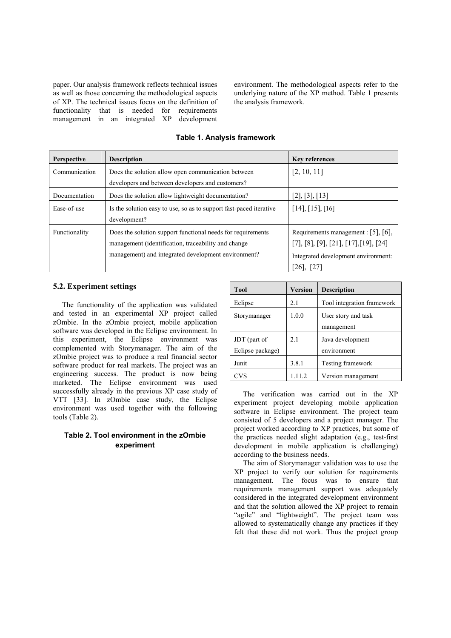paper. Our analysis framework reflects technical issues as well as those concerning the methodological aspects of XP. The technical issues focus on the definition of functionality that is needed for requirements management in an integrated XP development environment. The methodological aspects refer to the underlying nature of the XP method. Table 1 presents the analysis framework.

|  |  |  | Table 1. Analysis framework |
|--|--|--|-----------------------------|
|--|--|--|-----------------------------|

| <b>Perspective</b> | <b>Description</b>                                                                                                                                                        | <b>Key references</b>                                                                                                                   |
|--------------------|---------------------------------------------------------------------------------------------------------------------------------------------------------------------------|-----------------------------------------------------------------------------------------------------------------------------------------|
| Communication      | Does the solution allow open communication between<br>developers and between developers and customers?                                                                    | [2, 10, 11]                                                                                                                             |
| Documentation      | Does the solution allow lightweight documentation?                                                                                                                        | $[2]$ , $[3]$ , $[13]$                                                                                                                  |
| Ease-of-use        | Is the solution easy to use, so as to support fast-paced iterative<br>development?                                                                                        | [14], [15], [16]                                                                                                                        |
| Functionality      | Does the solution support functional needs for requirements<br>management (identification, traceability and change<br>management) and integrated development environment? | Requirements management : $[5]$ , $[6]$ ,<br>[7], [8], [9], [21], [17], [19], [24]<br>Integrated development environment:<br> 26 , [27] |

## **5.2. Experiment settings**

The functionality of the application was validated and tested in an experimental XP project called zOmbie. In the zOmbie project, mobile application software was developed in the Eclipse environment. In this experiment, the Eclipse environment was complemented with Storymanager. The aim of the zOmbie project was to produce a real financial sector software product for real markets. The project was an engineering success. The product is now being marketed. The Eclipse environment was used successfully already in the previous XP case study of VTT [33]. In zOmbie case study, the Eclipse environment was used together with the following tools (Table 2).

## **Table 2. Tool environment in the zOmbie experiment**

| <b>Tool</b>      | <b>Version</b> | <b>Description</b>         |
|------------------|----------------|----------------------------|
| Eclipse          | 2.1            | Tool integration framework |
| Storymanager     | 1.0.0          | User story and task        |
|                  |                | management                 |
| JDT (part of     | 2.1            | Java development           |
| Eclipse package) |                | environment                |
| Junit            | 3.8.1          | Testing framework          |
| CVS              | 1.11.2         | Version management         |

The verification was carried out in the XP experiment project developing mobile application software in Eclipse environment. The project team consisted of 5 developers and a project manager. The project worked according to XP practices, but some of the practices needed slight adaptation (e.g., test-first development in mobile application is challenging) according to the business needs.

The aim of Storymanager validation was to use the XP project to verify our solution for requirements management. The focus was to ensure that requirements management support was adequately considered in the integrated development environment and that the solution allowed the XP project to remain "agile" and "lightweight". The project team was allowed to systematically change any practices if they felt that these did not work. Thus the project group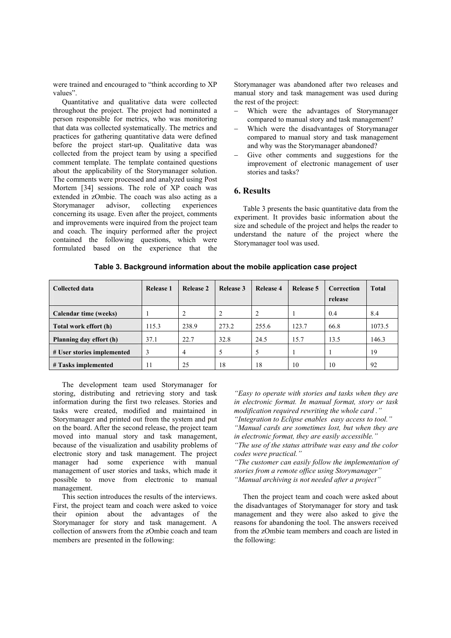were trained and encouraged to "think according to XP values".

Quantitative and qualitative data were collected throughout the project. The project had nominated a person responsible for metrics, who was monitoring that data was collected systematically. The metrics and practices for gathering quantitative data were defined before the project start-up. Qualitative data was collected from the project team by using a specified comment template. The template contained questions about the applicability of the Storymanager solution. The comments were processed and analyzed using Post Mortem [34] sessions. The role of XP coach was extended in zOmbie. The coach was also acting as a Storymanager advisor, collecting experiences concerning its usage. Even after the project, comments and improvements were inquired from the project team and coach. The inquiry performed after the project contained the following questions, which were formulated based on the experience that the Storymanager was abandoned after two releases and manual story and task management was used during the rest of the project:

- Which were the advantages of Storymanager compared to manual story and task management?
- Which were the disadvantages of Storymanager compared to manual story and task management and why was the Storymanager abandoned?
- Give other comments and suggestions for the improvement of electronic management of user stories and tasks?

## **6. Results**

Table 3 presents the basic quantitative data from the experiment. It provides basic information about the size and schedule of the project and helps the reader to understand the nature of the project where the Storymanager tool was used.

| Collected data             | Release 1 | Release 2 | Release 3 | Release 4 | Release 5 | <b>Correction</b><br>release | <b>Total</b> |
|----------------------------|-----------|-----------|-----------|-----------|-----------|------------------------------|--------------|
| Calendar time (weeks)      |           |           | 2         | 2         |           | 0.4                          | 8.4          |
| Total work effort (h)      | 115.3     | 238.9     | 273.2     | 255.6     | 123.7     | 66.8                         | 1073.5       |
| Planning day effort (h)    | 37.1      | 22.7      | 32.8      | 24.5      | 15.7      | 13.5                         | 146.3        |
| # User stories implemented | 3         | 4         | 5         | 5         |           |                              | 19           |
| # Tasks implemented        |           | 25        | 18        | 18        | 10        | 10                           | 92           |

**Table 3. Background information about the mobile application case project** 

The development team used Storymanager for storing, distributing and retrieving story and task information during the first two releases. Stories and tasks were created, modified and maintained in Storymanager and printed out from the system and put on the board. After the second release, the project team moved into manual story and task management, because of the visualization and usability problems of electronic story and task management. The project manager had some experience with manual management of user stories and tasks, which made it possible to move from electronic to manual management.

This section introduces the results of the interviews. First, the project team and coach were asked to voice their opinion about the advantages of the Storymanager for story and task management. A collection of answers from the zOmbie coach and team members are presented in the following:

*"Easy to operate with stories and tasks when they are in electronic format. In manual format, story or task modification required rewriting the whole card ."* 

*"Integration to Eclipse enables easy access to tool." "Manual cards are sometimes lost, but when they are in electronic format, they are easily accessible."* 

*"The use of the status attribute was easy and the color codes were practical."* 

*"The customer can easily follow the implementation of stories from a remote office using Storymanager" "Manual archiving is not needed after a project"* 

Then the project team and coach were asked about the disadvantages of Storymanager for story and task management and they were also asked to give the reasons for abandoning the tool. The answers received from the zOmbie team members and coach are listed in the following: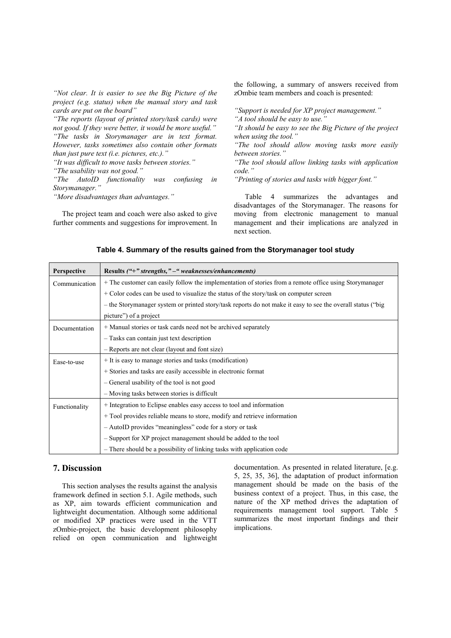*"Not clear. It is easier to see the Big Picture of the project (e.g. status) when the manual story and task cards are put on the board"* 

*"The reports (layout of printed story/task cards) were not good. If they were better, it would be more useful." "The tasks in Storymanager are in text format. However, tasks sometimes also contain other formats than just pure text (i.e. pictures, etc.)."* 

*"It was difficult to move tasks between stories."* 

*"The usability was not good."* 

*"The AutoID functionality was confusing in Storymanager."* 

*"More disadvantages than advantages."* 

The project team and coach were also asked to give further comments and suggestions for improvement. In the following, a summary of answers received from zOmbie team members and coach is presented:

*"Support is needed for XP project management."* 

*"A tool should be easy to use."* 

*"It should be easy to see the Big Picture of the project when using the tool."* 

*"The tool should allow moving tasks more easily between stories."* 

*"The tool should allow linking tasks with application code."* 

*"Printing of stories and tasks with bigger font."* 

 Table 4 summarizes the advantages and disadvantages of the Storymanager. The reasons for moving from electronic management to manual management and their implications are analyzed in next section.

| Perspective   | Results ("+" strengths," - "weaknesses/enhancements)                                                          |  |  |  |  |
|---------------|---------------------------------------------------------------------------------------------------------------|--|--|--|--|
| Communication | + The customer can easily follow the implementation of stories from a remote office using Storymanager        |  |  |  |  |
|               | + Color codes can be used to visualize the status of the story/task on computer screen                        |  |  |  |  |
|               | - the Storymanager system or printed story/task reports do not make it easy to see the overall status ("big") |  |  |  |  |
|               | picture") of a project                                                                                        |  |  |  |  |
| Documentation | + Manual stories or task cards need not be archived separately                                                |  |  |  |  |
|               | - Tasks can contain just text description                                                                     |  |  |  |  |
|               | - Reports are not clear (layout and font size)                                                                |  |  |  |  |
| Ease-to-use   | + It is easy to manage stories and tasks (modification)                                                       |  |  |  |  |
|               | + Stories and tasks are easily accessible in electronic format                                                |  |  |  |  |
|               | - General usability of the tool is not good                                                                   |  |  |  |  |
|               | - Moving tasks between stories is difficult                                                                   |  |  |  |  |
| Functionality | + Integration to Eclipse enables easy access to tool and information                                          |  |  |  |  |
|               | + Tool provides reliable means to store, modify and retrieve information                                      |  |  |  |  |
|               | - AutoID provides "meaningless" code for a story or task                                                      |  |  |  |  |
|               | - Support for XP project management should be added to the tool                                               |  |  |  |  |
|               | - There should be a possibility of linking tasks with application code                                        |  |  |  |  |

#### **Table 4. Summary of the results gained from the Storymanager tool study**

## **7. Discussion**

This section analyses the results against the analysis framework defined in section 5.1. Agile methods, such as XP, aim towards efficient communication and lightweight documentation. Although some additional or modified XP practices were used in the VTT zOmbie-project, the basic development philosophy relied on open communication and lightweight documentation. As presented in related literature, [e.g. 5, 25, 35, 36], the adaptation of product information management should be made on the basis of the business context of a project. Thus, in this case, the nature of the XP method drives the adaptation of requirements management tool support. Table 5 summarizes the most important findings and their implications.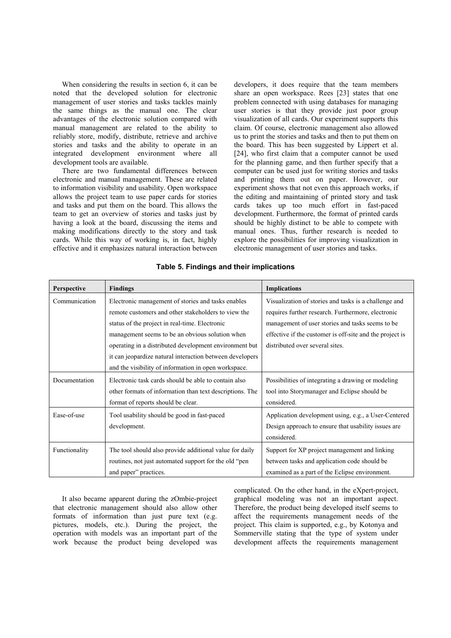When considering the results in section 6, it can be noted that the developed solution for electronic management of user stories and tasks tackles mainly the same things as the manual one. The clear advantages of the electronic solution compared with manual management are related to the ability to reliably store, modify, distribute, retrieve and archive stories and tasks and the ability to operate in an integrated development environment where all development tools are available.

There are two fundamental differences between electronic and manual management. These are related to information visibility and usability. Open workspace allows the project team to use paper cards for stories and tasks and put them on the board. This allows the team to get an overview of stories and tasks just by having a look at the board, discussing the items and making modifications directly to the story and task cards. While this way of working is, in fact, highly effective and it emphasizes natural interaction between developers, it does require that the team members share an open workspace. Rees [23] states that one problem connected with using databases for managing user stories is that they provide just poor group visualization of all cards. Our experiment supports this claim. Of course, electronic management also allowed us to print the stories and tasks and then to put them on the board. This has been suggested by Lippert et al. [24], who first claim that a computer cannot be used for the planning game, and then further specify that a computer can be used just for writing stories and tasks and printing them out on paper. However, our experiment shows that not even this approach works, if the editing and maintaining of printed story and task cards takes up too much effort in fast-paced development. Furthermore, the format of printed cards should be highly distinct to be able to compete with manual ones. Thus, further research is needed to explore the possibilities for improving visualization in electronic management of user stories and tasks.

| <b>Perspective</b> | <b>Findings</b>                                          | <b>Implications</b>                                      |
|--------------------|----------------------------------------------------------|----------------------------------------------------------|
| Communication      | Electronic management of stories and tasks enables       | Visualization of stories and tasks is a challenge and    |
|                    | remote customers and other stakeholders to view the      | requires further research. Furthermore, electronic       |
|                    | status of the project in real-time. Electronic           | management of user stories and tasks seems to be         |
|                    | management seems to be an obvious solution when          | effective if the customer is off-site and the project is |
|                    | operating in a distributed development environment but   | distributed over several sites.                          |
|                    | it can jeopardize natural interaction between developers |                                                          |
|                    | and the visibility of information in open workspace.     |                                                          |
| Documentation      | Electronic task cards should be able to contain also     | Possibilities of integrating a drawing or modeling       |
|                    | other formats of information than text descriptions. The | tool into Storymanager and Eclipse should be             |
|                    | format of reports should be clear.                       | considered.                                              |
| Ease-of-use        | Tool usability should be good in fast-paced              | Application development using, e.g., a User-Centered     |
|                    | development.                                             | Design approach to ensure that usability issues are      |
|                    |                                                          | considered.                                              |
| Functionality      | The tool should also provide additional value for daily  | Support for XP project management and linking            |
|                    | routines, not just automated support for the old "pen    | between tasks and application code should be             |
|                    | and paper" practices.                                    | examined as a part of the Eclipse environment.           |

#### **Table 5. Findings and their implications**

It also became apparent during the zOmbie-project that electronic management should also allow other formats of information than just pure text (e.g. pictures, models, etc.). During the project, the operation with models was an important part of the work because the product being developed was complicated. On the other hand, in the eXpert-project, graphical modeling was not an important aspect. Therefore, the product being developed itself seems to affect the requirements management needs of the project. This claim is supported, e.g., by Kotonya and Sommerville stating that the type of system under development affects the requirements management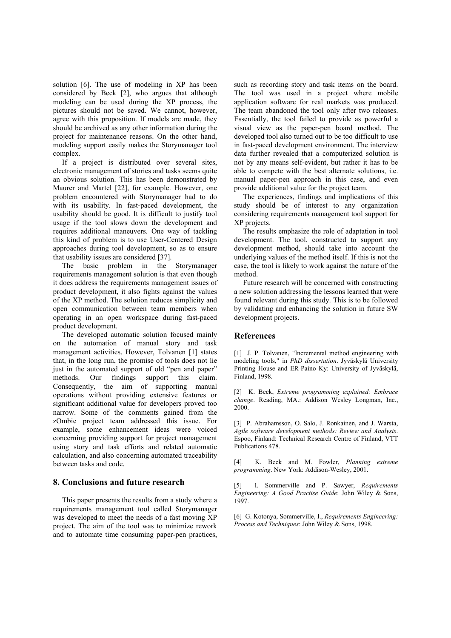solution [6]. The use of modeling in XP has been considered by Beck [2], who argues that although modeling can be used during the XP process, the pictures should not be saved. We cannot, however, agree with this proposition. If models are made, they should be archived as any other information during the project for maintenance reasons. On the other hand, modeling support easily makes the Storymanager tool complex.

If a project is distributed over several sites, electronic management of stories and tasks seems quite an obvious solution. This has been demonstrated by Maurer and Martel [22], for example. However, one problem encountered with Storymanager had to do with its usability. In fast-paced development, the usability should be good. It is difficult to justify tool usage if the tool slows down the development and requires additional maneuvers. One way of tackling this kind of problem is to use User-Centered Design approaches during tool development, so as to ensure that usability issues are considered [37].

The basic problem in the Storymanager requirements management solution is that even though it does address the requirements management issues of product development, it also fights against the values of the XP method. The solution reduces simplicity and open communication between team members when operating in an open workspace during fast-paced product development.

The developed automatic solution focused mainly on the automation of manual story and task management activities. However, Tolvanen [1] states that, in the long run, the promise of tools does not lie just in the automated support of old "pen and paper" methods. Our findings support this claim. Consequently, the aim of supporting manual operations without providing extensive features or significant additional value for developers proved too narrow. Some of the comments gained from the zOmbie project team addressed this issue. For example, some enhancement ideas were voiced concerning providing support for project management using story and task efforts and related automatic calculation, and also concerning automated traceability between tasks and code.

## **8. Conclusions and future research**

This paper presents the results from a study where a requirements management tool called Storymanager was developed to meet the needs of a fast moving XP project. The aim of the tool was to minimize rework and to automate time consuming paper-pen practices, such as recording story and task items on the board. The tool was used in a project where mobile application software for real markets was produced. The team abandoned the tool only after two releases. Essentially, the tool failed to provide as powerful a visual view as the paper-pen board method. The developed tool also turned out to be too difficult to use in fast-paced development environment. The interview data further revealed that a computerized solution is not by any means self-evident, but rather it has to be able to compete with the best alternate solutions, i.e. manual paper-pen approach in this case, and even provide additional value for the project team.

The experiences, findings and implications of this study should be of interest to any organization considering requirements management tool support for XP projects.

The results emphasize the role of adaptation in tool development. The tool, constructed to support any development method, should take into account the underlying values of the method itself. If this is not the case, the tool is likely to work against the nature of the method.

Future research will be concerned with constructing a new solution addressing the lessons learned that were found relevant during this study. This is to be followed by validating and enhancing the solution in future SW development projects.

#### **References**

[1] J. P. Tolvanen, "Incremental method engineering with modeling tools," in *PhD dissertation*. Jyväskylä University Printing House and ER-Paino Ky: University of Jyväskylä, Finland, 1998.

[2] K. Beck, *Extreme programming explained: Embrace change*. Reading, MA.: Addison Wesley Longman, Inc., 2000.

[3] P. Abrahamsson, O. Salo, J. Ronkainen, and J. Warsta, *Agile software development methods: Review and Analysis*. Espoo, Finland: Technical Research Centre of Finland, VTT Publications 478.

[4] K. Beck and M. Fowler, *Planning extreme programming*. New York: Addison-Wesley, 2001.

[5] I. Sommerville and P. Sawyer, *Requirements Engineering: A Good Practise Guide*: John Wiley & Sons, 1997.

[6] G. Kotonya, Sommerville, I., *Requirements Engineering: Process and Techniques*: John Wiley & Sons, 1998.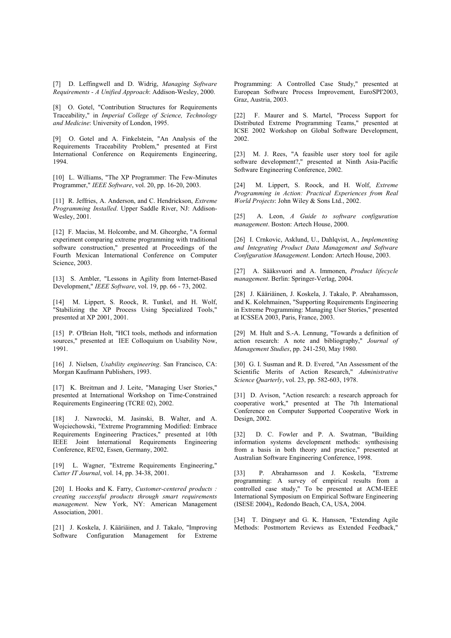[7] D. Leffingwell and D. Widrig, *Managing Software Requirements - A Unified Approach*: Addison-Wesley, 2000.

[8] O. Gotel, "Contribution Structures for Requirements Traceability," in *Imperial College of Science, Technology and Medicine*: University of London, 1995.

[9] O. Gotel and A. Finkelstein, "An Analysis of the Requirements Traceability Problem," presented at First International Conference on Requirements Engineering, 1994.

[10] L. Williams, "The XP Programmer: The Few-Minutes Programmer," *IEEE Software*, vol. 20, pp. 16-20, 2003.

[11] R. Jeffries, A. Anderson, and C. Hendrickson, *Extreme Programming Installed*. Upper Saddle River, NJ: Addison-Wesley, 2001.

[12] F. Macias, M. Holcombe, and M. Gheorghe, "A formal experiment comparing extreme programming with traditional software construction," presented at Proceedings of the Fourth Mexican International Conference on Computer Science, 2003.

[13] S. Ambler, "Lessons in Agility from Internet-Based Development," *IEEE Software*, vol. 19, pp. 66 - 73, 2002.

[14] M. Lippert, S. Roock, R. Tunkel, and H. Wolf, "Stabilizing the XP Process Using Specialized Tools," presented at XP 2001, 2001.

[15] P. O'Brian Holt, "HCI tools, methods and information sources," presented at IEE Colloquium on Usability Now, 1991.

[16] J. Nielsen, *Usability engineering*. San Francisco, CA: Morgan Kaufmann Publishers, 1993.

[17] K. Breitman and J. Leite, "Managing User Stories," presented at International Workshop on Time-Constrained Requirements Engineering (TCRE 02), 2002.

[18] J. Nawrocki, M. Jasinski, B. Walter, and A. Wojciechowski, "Extreme Programming Modified: Embrace Requirements Engineering Practices," presented at 10th IEEE Joint International Requirements Engineering Conference, RE'02, Essen, Germany, 2002.

[19] L. Wagner, "Extreme Requirements Engineering," *Cutter IT Journal*, vol. 14, pp. 34-38, 2001.

[20] I. Hooks and K. Farry, *Customer-centered products : creating successful products through smart requirements management*. New York, NY: American Management Association, 2001.

[21] J. Koskela, J. Kääriäinen, and J. Takalo, "Improving Software Configuration Management for Extreme

Programming: A Controlled Case Study," presented at European Software Process Improvement, EuroSPI'2003, Graz, Austria, 2003.

[22] F. Maurer and S. Martel, "Process Support for Distributed Extreme Programming Teams," presented at ICSE 2002 Workshop on Global Software Development, 2002.

[23] M. J. Rees, "A feasible user story tool for agile software development?," presented at Ninth Asia-Pacific Software Engineering Conference, 2002.

[24] M. Lippert, S. Roock, and H. Wolf, *Extreme Programming in Action: Practical Experiences from Real World Projects*: John Wiley & Sons Ltd., 2002.

[25] A. Leon, *A Guide to software configuration management*. Boston: Artech House, 2000.

[26] I. Crnkovic, Asklund, U., Dahlqvist, A., *Implementing and Integrating Product Data Management and Software Configuration Management*. London: Artech House, 2003.

[27] A. Sääksvuori and A. Immonen, *Product lifecycle management*. Berlin: Springer-Verlag, 2004.

[28] J. Kääriäinen, J. Koskela, J. Takalo, P. Abrahamsson, and K. Kolehmainen, "Supporting Requirements Engineering in Extreme Programming: Managing User Stories," presented at ICSSEA 2003, Paris, France, 2003.

[29] M. Hult and S.-A. Lennung, "Towards a definition of action research: A note and bibliography," *Journal of Management Studies*, pp. 241-250, May 1980.

[30] G. I. Susman and R. D. Evered, "An Assessment of the Scientific Merits of Action Research," *Administrative Science Quarterly*, vol. 23, pp. 582-603, 1978.

[31] D. Avison, "Action research: a research approach for cooperative work," presented at The 7th International Conference on Computer Supported Cooperative Work in Design, 2002.

[32] D. C. Fowler and P. A. Swatman, "Building information systems development methods: synthesising from a basis in both theory and practice," presented at Australian Software Engineering Conference, 1998.

[33] P. Abrahamsson and J. Koskela, "Extreme programming: A survey of empirical results from a controlled case study," To be presented at ACM-IEEE International Symposium on Empirical Software Engineering (ISESE 2004),, Redondo Beach, CA, USA, 2004.

[34] T. Dingsøyr and G. K. Hanssen, "Extending Agile Methods: Postmortem Reviews as Extended Feedback,"